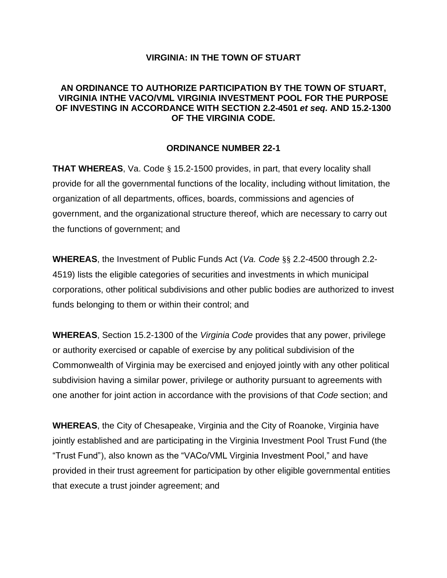### **VIRGINIA: IN THE TOWN OF STUART**

## **AN ORDINANCE TO AUTHORIZE PARTICIPATION BY THE TOWN OF STUART, VIRGINIA INTHE VACO/VML VIRGINIA INVESTMENT POOL FOR THE PURPOSE OF INVESTING IN ACCORDANCE WITH SECTION 2.2-4501** *et seq.* **AND 15.2-1300 OF THE VIRGINIA CODE.**

### **ORDINANCE NUMBER 22-1**

**THAT WHEREAS**, Va. Code § 15.2-1500 provides, in part, that every locality shall provide for all the governmental functions of the locality, including without limitation, the organization of all departments, offices, boards, commissions and agencies of government, and the organizational structure thereof, which are necessary to carry out the functions of government; and

**WHEREAS**, the Investment of Public Funds Act (*Va. Code* §§ 2.2-4500 through 2.2- 4519) lists the eligible categories of securities and investments in which municipal corporations, other political subdivisions and other public bodies are authorized to invest funds belonging to them or within their control; and

**WHEREAS**, Section 15.2-1300 of the *Virginia Code* provides that any power, privilege or authority exercised or capable of exercise by any political subdivision of the Commonwealth of Virginia may be exercised and enjoyed jointly with any other political subdivision having a similar power, privilege or authority pursuant to agreements with one another for joint action in accordance with the provisions of that *Code* section; and

**WHEREAS**, the City of Chesapeake, Virginia and the City of Roanoke, Virginia have jointly established and are participating in the Virginia Investment Pool Trust Fund (the "Trust Fund"), also known as the "VACo/VML Virginia Investment Pool," and have provided in their trust agreement for participation by other eligible governmental entities that execute a trust joinder agreement; and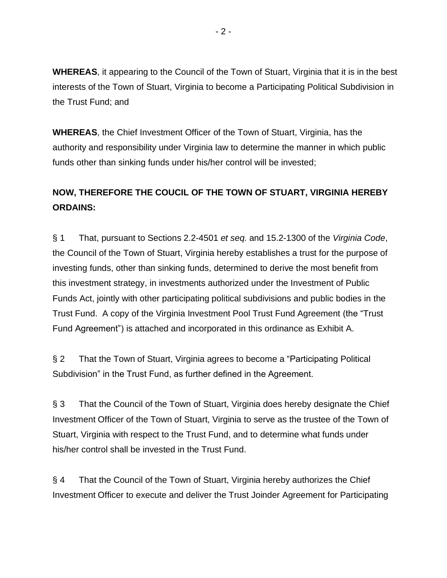**WHEREAS**, it appearing to the Council of the Town of Stuart, Virginia that it is in the best interests of the Town of Stuart, Virginia to become a Participating Political Subdivision in the Trust Fund; and

**WHEREAS**, the Chief Investment Officer of the Town of Stuart, Virginia, has the authority and responsibility under Virginia law to determine the manner in which public funds other than sinking funds under his/her control will be invested;

# **NOW, THEREFORE THE COUCIL OF THE TOWN OF STUART, VIRGINIA HEREBY ORDAINS:**

§ 1 That, pursuant to Sections 2.2-4501 *et seq.* and 15.2-1300 of the *Virginia Code*, the Council of the Town of Stuart, Virginia hereby establishes a trust for the purpose of investing funds, other than sinking funds, determined to derive the most benefit from this investment strategy, in investments authorized under the Investment of Public Funds Act, jointly with other participating political subdivisions and public bodies in the Trust Fund. A copy of the Virginia Investment Pool Trust Fund Agreement (the "Trust Fund Agreement") is attached and incorporated in this ordinance as Exhibit A.

§ 2 That the Town of Stuart, Virginia agrees to become a "Participating Political Subdivision" in the Trust Fund, as further defined in the Agreement.

§ 3 That the Council of the Town of Stuart, Virginia does hereby designate the Chief Investment Officer of the Town of Stuart, Virginia to serve as the trustee of the Town of Stuart, Virginia with respect to the Trust Fund, and to determine what funds under his/her control shall be invested in the Trust Fund.

§ 4 That the Council of the Town of Stuart, Virginia hereby authorizes the Chief Investment Officer to execute and deliver the Trust Joinder Agreement for Participating